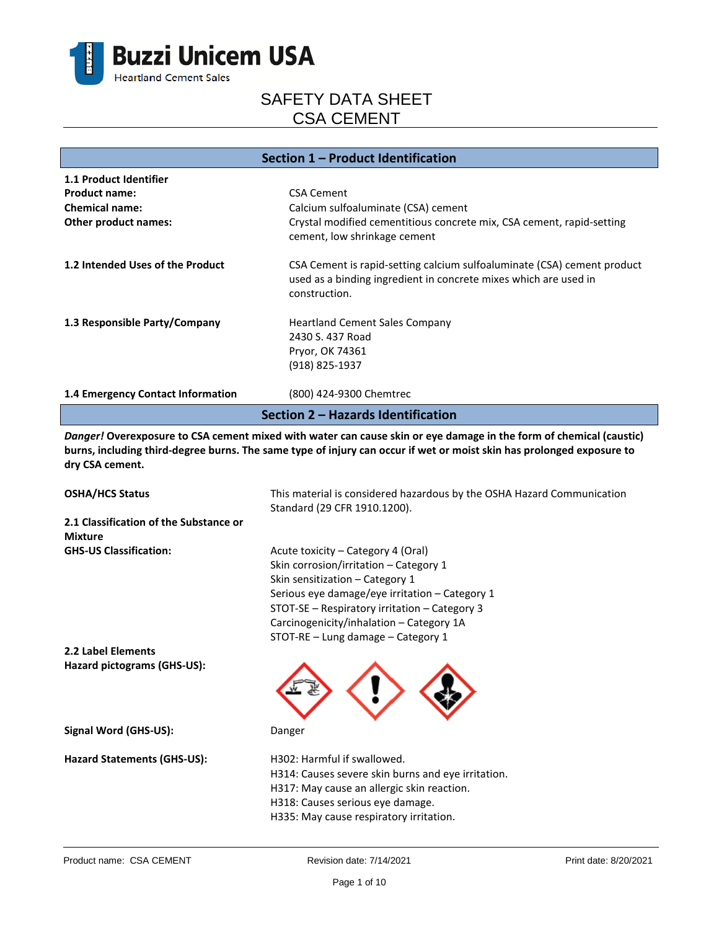

| Section 1 – Product Identification |                                                                                                                                                              |  |
|------------------------------------|--------------------------------------------------------------------------------------------------------------------------------------------------------------|--|
| 1.1 Product Identifier             |                                                                                                                                                              |  |
| <b>Product name:</b>               | <b>CSA Cement</b>                                                                                                                                            |  |
| <b>Chemical name:</b>              | Calcium sulfoaluminate (CSA) cement                                                                                                                          |  |
| Other product names:               | Crystal modified cementitious concrete mix, CSA cement, rapid-setting<br>cement, low shrinkage cement                                                        |  |
| 1.2 Intended Uses of the Product   | CSA Cement is rapid-setting calcium sulfoaluminate (CSA) cement product<br>used as a binding ingredient in concrete mixes which are used in<br>construction. |  |
| 1.3 Responsible Party/Company      | <b>Heartland Cement Sales Company</b><br>2430 S. 437 Road<br>Pryor, OK 74361<br>(918) 825-1937                                                               |  |
| 1.4 Emergency Contact Information  | (800) 424-9300 Chemtrec                                                                                                                                      |  |
| Section 2 – Hazards Identification |                                                                                                                                                              |  |

*Danger!* **Overexposure to CSA cement mixed with water can cause skin or eye damage in the form of chemical (caustic) burns, including third-degree burns. The same type of injury can occur if wet or moist skin has prolonged exposure to dry CSA cement.**

| <b>OSHA/HCS Status</b>                                   | This material is considered hazardous by the OSHA Hazard Communication<br>Standard (29 CFR 1910.1200).                                                                                                                                                                                               |  |
|----------------------------------------------------------|------------------------------------------------------------------------------------------------------------------------------------------------------------------------------------------------------------------------------------------------------------------------------------------------------|--|
| 2.1 Classification of the Substance or<br><b>Mixture</b> |                                                                                                                                                                                                                                                                                                      |  |
| <b>GHS-US Classification:</b>                            | Acute toxicity – Category 4 (Oral)<br>Skin corrosion/irritation - Category 1<br>Skin sensitization - Category 1<br>Serious eye damage/eye irritation - Category 1<br>STOT-SE - Respiratory irritation - Category 3<br>Carcinogenicity/inhalation - Category 1A<br>STOT-RE - Lung damage - Category 1 |  |
| 2.2 Label Elements                                       |                                                                                                                                                                                                                                                                                                      |  |
| Hazard pictograms (GHS-US):                              |                                                                                                                                                                                                                                                                                                      |  |
| Signal Word (GHS-US):                                    | Danger                                                                                                                                                                                                                                                                                               |  |
| <b>Hazard Statements (GHS-US):</b>                       | H302: Harmful if swallowed.<br>H314: Causes severe skin burns and eye irritation.<br>H317: May cause an allergic skin reaction.<br>H318: Causes serious eye damage.<br>H335: May cause respiratory irritation.                                                                                       |  |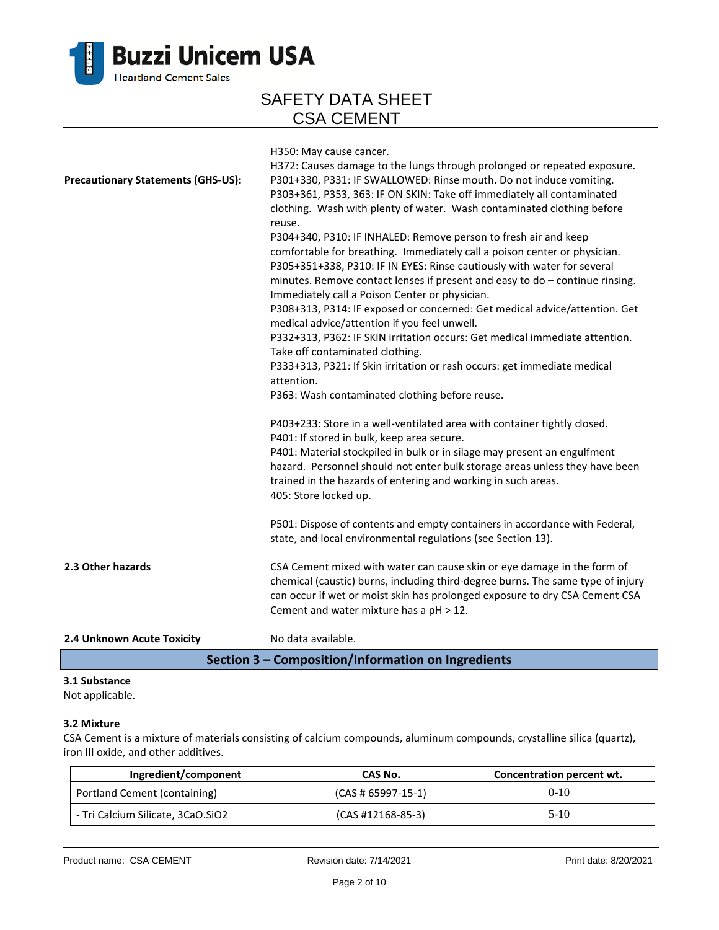

| 2.4 Unknown Acute Toxicity                | No data available.                                                                                                                                                                                                                                                                                                                                                                                                                                                                                                                                                               |
|-------------------------------------------|----------------------------------------------------------------------------------------------------------------------------------------------------------------------------------------------------------------------------------------------------------------------------------------------------------------------------------------------------------------------------------------------------------------------------------------------------------------------------------------------------------------------------------------------------------------------------------|
| 2.3 Other hazards                         | CSA Cement mixed with water can cause skin or eye damage in the form of<br>chemical (caustic) burns, including third-degree burns. The same type of injury<br>can occur if wet or moist skin has prolonged exposure to dry CSA Cement CSA<br>Cement and water mixture has a pH > 12.                                                                                                                                                                                                                                                                                             |
|                                           | P501: Dispose of contents and empty containers in accordance with Federal,<br>state, and local environmental regulations (see Section 13).                                                                                                                                                                                                                                                                                                                                                                                                                                       |
|                                           | P403+233: Store in a well-ventilated area with container tightly closed.<br>P401: If stored in bulk, keep area secure.<br>P401: Material stockpiled in bulk or in silage may present an engulfment<br>hazard. Personnel should not enter bulk storage areas unless they have been<br>trained in the hazards of entering and working in such areas.<br>405: Store locked up.                                                                                                                                                                                                      |
|                                           | Take off contaminated clothing.<br>P333+313, P321: If Skin irritation or rash occurs: get immediate medical<br>attention.<br>P363: Wash contaminated clothing before reuse.                                                                                                                                                                                                                                                                                                                                                                                                      |
|                                           | reuse.<br>P304+340, P310: IF INHALED: Remove person to fresh air and keep<br>comfortable for breathing. Immediately call a poison center or physician.<br>P305+351+338, P310: IF IN EYES: Rinse cautiously with water for several<br>minutes. Remove contact lenses if present and easy to do - continue rinsing.<br>Immediately call a Poison Center or physician.<br>P308+313, P314: IF exposed or concerned: Get medical advice/attention. Get<br>medical advice/attention if you feel unwell.<br>P332+313, P362: IF SKIN irritation occurs: Get medical immediate attention. |
| <b>Precautionary Statements (GHS-US):</b> | H350: May cause cancer.<br>H372: Causes damage to the lungs through prolonged or repeated exposure.<br>P301+330, P331: IF SWALLOWED: Rinse mouth. Do not induce vomiting.<br>P303+361, P353, 363: IF ON SKIN: Take off immediately all contaminated<br>clothing. Wash with plenty of water. Wash contaminated clothing before                                                                                                                                                                                                                                                    |

### **Section 3 – Composition/Information on Ingredients**

### **3.1 Substance**

Not applicable.

### **3.2 Mixture**

CSA Cement is a mixture of materials consisting of calcium compounds, aluminum compounds, crystalline silica (quartz), iron III oxide, and other additives.

| Ingredient/component              | CAS No.              | Concentration percent wt. |
|-----------------------------------|----------------------|---------------------------|
| Portland Cement (containing)      | $(CAS # 65997-15-1)$ | $0-10$                    |
| - Tri Calcium Silicate, 3CaO.SiO2 | $(CAS #12168-85-3)$  | $5-10$                    |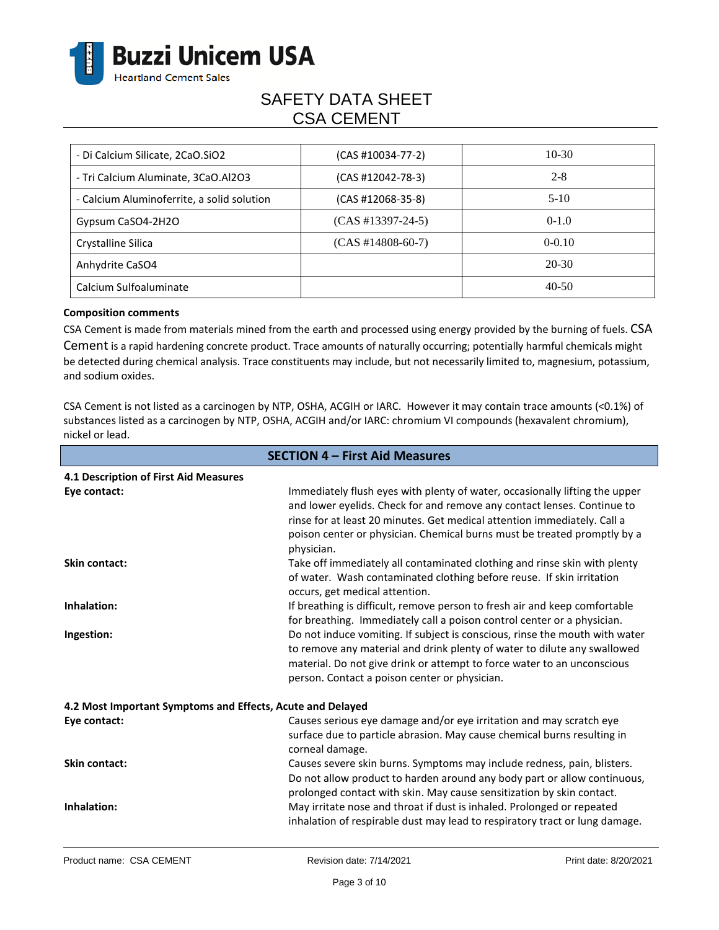

| - Di Calcium Silicate, 2CaO.SiO2           | $(CAS #10034-77-2)$ | $10-30$  |
|--------------------------------------------|---------------------|----------|
| - Tri Calcium Aluminate, 3CaO.Al2O3        | (CAS #12042-78-3)   | $2 - 8$  |
| - Calcium Aluminoferrite, a solid solution | (CAS #12068-35-8)   | $5-10$   |
| Gypsum CaSO4-2H2O                          | $(CAS #13397-24-5)$ | $0-1.0$  |
| Crystalline Silica                         | $(CAS #14808-60-7)$ | $0-0.10$ |
| Anhydrite CaSO4                            |                     | 20-30    |
| Calcium Sulfoaluminate                     |                     | $40-50$  |

#### **Composition comments**

CSA Cement is made from materials mined from the earth and processed using energy provided by the burning of fuels. CSA Cement is a rapid hardening concrete product. Trace amounts of naturally occurring; potentially harmful chemicals might be detected during chemical analysis. Trace constituents may include, but not necessarily limited to, magnesium, potassium, and sodium oxides.

CSA Cement is not listed as a carcinogen by NTP, OSHA, ACGIH or IARC. However it may contain trace amounts (<0.1%) of substances listed as a carcinogen by NTP, OSHA, ACGIH and/or IARC: chromium VI compounds (hexavalent chromium), nickel or lead.

| <b>SECTION 4 - First Aid Measures</b>                      |                                                                                                                                                                                                                                                                                                                              |  |
|------------------------------------------------------------|------------------------------------------------------------------------------------------------------------------------------------------------------------------------------------------------------------------------------------------------------------------------------------------------------------------------------|--|
| 4.1 Description of First Aid Measures                      |                                                                                                                                                                                                                                                                                                                              |  |
| Eye contact:                                               | Immediately flush eyes with plenty of water, occasionally lifting the upper<br>and lower eyelids. Check for and remove any contact lenses. Continue to<br>rinse for at least 20 minutes. Get medical attention immediately. Call a<br>poison center or physician. Chemical burns must be treated promptly by a<br>physician. |  |
| <b>Skin contact:</b>                                       | Take off immediately all contaminated clothing and rinse skin with plenty<br>of water. Wash contaminated clothing before reuse. If skin irritation<br>occurs, get medical attention.                                                                                                                                         |  |
| Inhalation:                                                | If breathing is difficult, remove person to fresh air and keep comfortable<br>for breathing. Immediately call a poison control center or a physician.                                                                                                                                                                        |  |
| Ingestion:                                                 | Do not induce vomiting. If subject is conscious, rinse the mouth with water<br>to remove any material and drink plenty of water to dilute any swallowed<br>material. Do not give drink or attempt to force water to an unconscious<br>person. Contact a poison center or physician.                                          |  |
| 4.2 Most Important Symptoms and Effects, Acute and Delayed |                                                                                                                                                                                                                                                                                                                              |  |
| Eye contact:                                               | Causes serious eye damage and/or eye irritation and may scratch eye<br>surface due to particle abrasion. May cause chemical burns resulting in<br>corneal damage.                                                                                                                                                            |  |
| <b>Skin contact:</b>                                       | Causes severe skin burns. Symptoms may include redness, pain, blisters.<br>Do not allow product to harden around any body part or allow continuous,<br>prolonged contact with skin. May cause sensitization by skin contact.                                                                                                 |  |
| Inhalation:                                                | May irritate nose and throat if dust is inhaled. Prolonged or repeated<br>inhalation of respirable dust may lead to respiratory tract or lung damage.                                                                                                                                                                        |  |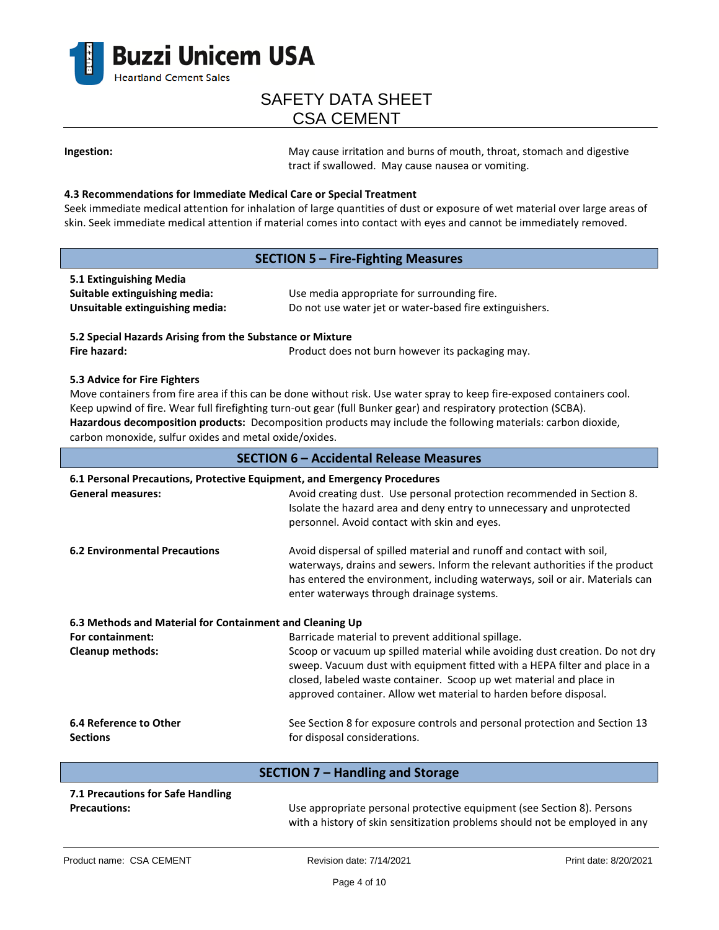

**Ingestion:** May cause irritation and burns of mouth, throat, stomach and digestive tract if swallowed. May cause nausea or vomiting.

#### **4.3 Recommendations for Immediate Medical Care or Special Treatment**

Seek immediate medical attention for inhalation of large quantities of dust or exposure of wet material over large areas of skin. Seek immediate medical attention if material comes into contact with eyes and cannot be immediately removed.

### **SECTION 5 – Fire-Fighting Measures**

| 5.1 Extinguishing Media         |                                                         |
|---------------------------------|---------------------------------------------------------|
| Suitable extinguishing media:   | Use media appropriate for surrounding fire.             |
| Unsuitable extinguishing media: | Do not use water jet or water-based fire extinguishers. |

**5.2 Special Hazards Arising from the Substance or Mixture Fire hazard: Product does not burn however its packaging may.** Product does not burn however its packaging may.

#### **5.3 Advice for Fire Fighters**

Move containers from fire area if this can be done without risk. Use water spray to keep fire-exposed containers cool. Keep upwind of fire. Wear full firefighting turn-out gear (full Bunker gear) and respiratory protection (SCBA). **Hazardous decomposition products:** Decomposition products may include the following materials: carbon dioxide, carbon monoxide, sulfur oxides and metal oxide/oxides.

| <b>SECTION 6 - Accidental Release Measures</b>           |                                                                                                                                                                                                                                                                                                        |  |  |  |
|----------------------------------------------------------|--------------------------------------------------------------------------------------------------------------------------------------------------------------------------------------------------------------------------------------------------------------------------------------------------------|--|--|--|
|                                                          | 6.1 Personal Precautions, Protective Equipment, and Emergency Procedures                                                                                                                                                                                                                               |  |  |  |
| <b>General measures:</b>                                 | Avoid creating dust. Use personal protection recommended in Section 8.<br>Isolate the hazard area and deny entry to unnecessary and unprotected<br>personnel. Avoid contact with skin and eyes.                                                                                                        |  |  |  |
| <b>6.2 Environmental Precautions</b>                     | Avoid dispersal of spilled material and runoff and contact with soil,<br>waterways, drains and sewers. Inform the relevant authorities if the product<br>has entered the environment, including waterways, soil or air. Materials can<br>enter waterways through drainage systems.                     |  |  |  |
| 6.3 Methods and Material for Containment and Cleaning Up |                                                                                                                                                                                                                                                                                                        |  |  |  |
| For containment:                                         | Barricade material to prevent additional spillage.                                                                                                                                                                                                                                                     |  |  |  |
| <b>Cleanup methods:</b>                                  | Scoop or vacuum up spilled material while avoiding dust creation. Do not dry<br>sweep. Vacuum dust with equipment fitted with a HEPA filter and place in a<br>closed, labeled waste container. Scoop up wet material and place in<br>approved container. Allow wet material to harden before disposal. |  |  |  |
| 6.4 Reference to Other                                   | See Section 8 for exposure controls and personal protection and Section 13                                                                                                                                                                                                                             |  |  |  |
| <b>Sections</b>                                          | for disposal considerations.                                                                                                                                                                                                                                                                           |  |  |  |
| <b>SECTION 7 - Handling and Storage</b>                  |                                                                                                                                                                                                                                                                                                        |  |  |  |
| 7.1 Precautions for Safe Handling                        |                                                                                                                                                                                                                                                                                                        |  |  |  |

with a history of skin sensitization problems should not be employed in any

**Precautions:** Use appropriate personal protective equipment (see Section 8). Persons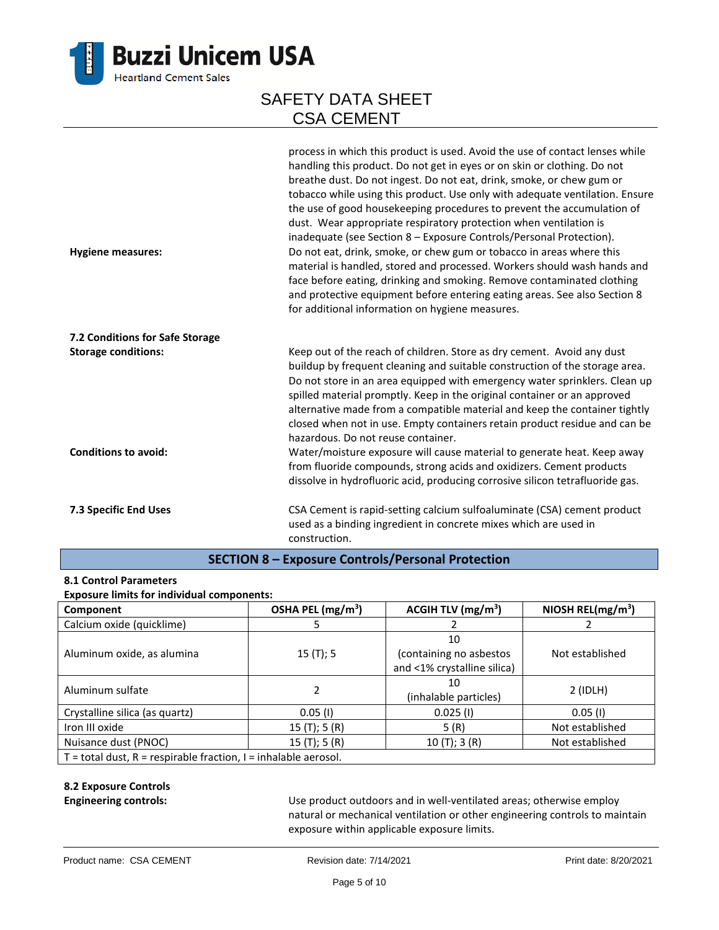

| <b>Hygiene measures:</b>        | process in which this product is used. Avoid the use of contact lenses while<br>handling this product. Do not get in eyes or on skin or clothing. Do not<br>breathe dust. Do not ingest. Do not eat, drink, smoke, or chew gum or<br>tobacco while using this product. Use only with adequate ventilation. Ensure<br>the use of good housekeeping procedures to prevent the accumulation of<br>dust. Wear appropriate respiratory protection when ventilation is<br>inadequate (see Section 8 - Exposure Controls/Personal Protection).<br>Do not eat, drink, smoke, or chew gum or tobacco in areas where this<br>material is handled, stored and processed. Workers should wash hands and<br>face before eating, drinking and smoking. Remove contaminated clothing<br>and protective equipment before entering eating areas. See also Section 8<br>for additional information on hygiene measures. |
|---------------------------------|-------------------------------------------------------------------------------------------------------------------------------------------------------------------------------------------------------------------------------------------------------------------------------------------------------------------------------------------------------------------------------------------------------------------------------------------------------------------------------------------------------------------------------------------------------------------------------------------------------------------------------------------------------------------------------------------------------------------------------------------------------------------------------------------------------------------------------------------------------------------------------------------------------|
| 7.2 Conditions for Safe Storage |                                                                                                                                                                                                                                                                                                                                                                                                                                                                                                                                                                                                                                                                                                                                                                                                                                                                                                       |
| <b>Storage conditions:</b>      | Keep out of the reach of children. Store as dry cement. Avoid any dust<br>buildup by frequent cleaning and suitable construction of the storage area.<br>Do not store in an area equipped with emergency water sprinklers. Clean up<br>spilled material promptly. Keep in the original container or an approved<br>alternative made from a compatible material and keep the container tightly<br>closed when not in use. Empty containers retain product residue and can be<br>hazardous. Do not reuse container.                                                                                                                                                                                                                                                                                                                                                                                     |
| <b>Conditions to avoid:</b>     | Water/moisture exposure will cause material to generate heat. Keep away<br>from fluoride compounds, strong acids and oxidizers. Cement products<br>dissolve in hydrofluoric acid, producing corrosive silicon tetrafluoride gas.                                                                                                                                                                                                                                                                                                                                                                                                                                                                                                                                                                                                                                                                      |
| 7.3 Specific End Uses           | CSA Cement is rapid-setting calcium sulfoaluminate (CSA) cement product<br>used as a binding ingredient in concrete mixes which are used in<br>construction.                                                                                                                                                                                                                                                                                                                                                                                                                                                                                                                                                                                                                                                                                                                                          |

### **SECTION 8 – Exposure Controls/Personal Protection**

#### **8.1 Control Parameters**

#### **Exposure limits for individual components:**

| Component                                                         | OSHA PEL (mg/m <sup>3</sup> ) | ACGIH TLV $(mg/m3)$         | NIOSH REL( $mg/m3$ ) |
|-------------------------------------------------------------------|-------------------------------|-----------------------------|----------------------|
| Calcium oxide (quicklime)                                         |                               |                             |                      |
|                                                                   |                               | 10                          |                      |
| Aluminum oxide, as alumina                                        | 15(T); 5                      | (containing no asbestos     | Not established      |
|                                                                   |                               | and <1% crystalline silica) |                      |
| Aluminum sulfate                                                  |                               | 10                          |                      |
|                                                                   |                               | (inhalable particles)       | $2$ (IDLH)           |
| Crystalline silica (as quartz)                                    | $0.05$ (I)                    | $0.025$ (I)                 | $0.05$ (I)           |
| Iron III oxide                                                    | 15(T); 5(R)                   | 5(R)                        | Not established      |
| Nuisance dust (PNOC)                                              | 15(T); 5(R)                   | 10(T); 3(R)                 | Not established      |
| $T =$ total dust, R = respirable fraction, I = inhalable aerosol. |                               |                             |                      |

### **8.2 Exposure Controls**

**Engineering controls:** Use product outdoors and in well-ventilated areas; otherwise employ natural or mechanical ventilation or other engineering controls to maintain exposure within applicable exposure limits.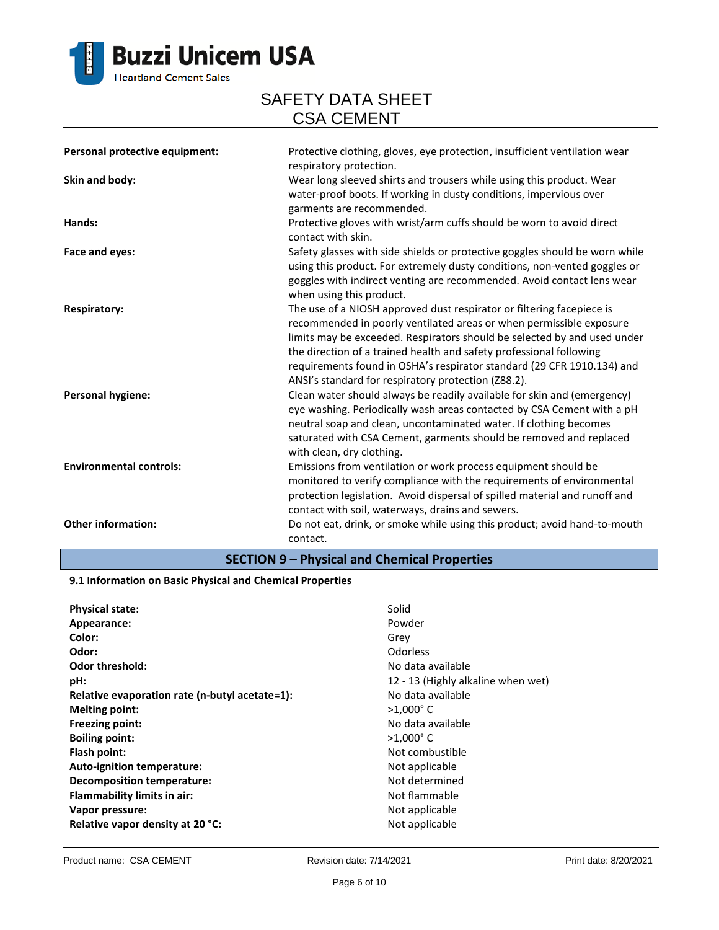

| Personal protective equipment: | Protective clothing, gloves, eye protection, insufficient ventilation wear<br>respiratory protection.                                                                                                                                                                                                                                                                                                                            |
|--------------------------------|----------------------------------------------------------------------------------------------------------------------------------------------------------------------------------------------------------------------------------------------------------------------------------------------------------------------------------------------------------------------------------------------------------------------------------|
| Skin and body:                 | Wear long sleeved shirts and trousers while using this product. Wear<br>water-proof boots. If working in dusty conditions, impervious over<br>garments are recommended.                                                                                                                                                                                                                                                          |
| Hands:                         | Protective gloves with wrist/arm cuffs should be worn to avoid direct<br>contact with skin.                                                                                                                                                                                                                                                                                                                                      |
| Face and eyes:                 | Safety glasses with side shields or protective goggles should be worn while<br>using this product. For extremely dusty conditions, non-vented goggles or<br>goggles with indirect venting are recommended. Avoid contact lens wear<br>when using this product.                                                                                                                                                                   |
| <b>Respiratory:</b>            | The use of a NIOSH approved dust respirator or filtering facepiece is<br>recommended in poorly ventilated areas or when permissible exposure<br>limits may be exceeded. Respirators should be selected by and used under<br>the direction of a trained health and safety professional following<br>requirements found in OSHA's respirator standard (29 CFR 1910.134) and<br>ANSI's standard for respiratory protection (Z88.2). |
| <b>Personal hygiene:</b>       | Clean water should always be readily available for skin and (emergency)<br>eye washing. Periodically wash areas contacted by CSA Cement with a pH<br>neutral soap and clean, uncontaminated water. If clothing becomes<br>saturated with CSA Cement, garments should be removed and replaced<br>with clean, dry clothing.                                                                                                        |
| <b>Environmental controls:</b> | Emissions from ventilation or work process equipment should be<br>monitored to verify compliance with the requirements of environmental<br>protection legislation. Avoid dispersal of spilled material and runoff and<br>contact with soil, waterways, drains and sewers.                                                                                                                                                        |
| <b>Other information:</b>      | Do not eat, drink, or smoke while using this product; avoid hand-to-mouth<br>contact.                                                                                                                                                                                                                                                                                                                                            |

### **SECTION 9 – Physical and Chemical Properties**

#### **9.1 Information on Basic Physical and Chemical Properties**

| <b>Physical state:</b>                         | Solid                              |
|------------------------------------------------|------------------------------------|
| Appearance:                                    | Powder                             |
| Color:                                         | Grey                               |
| Odor:                                          | <b>Odorless</b>                    |
| <b>Odor threshold:</b>                         | No data available                  |
| pH:                                            | 12 - 13 (Highly alkaline when wet) |
| Relative evaporation rate (n-butyl acetate=1): | No data available                  |
| <b>Melting point:</b>                          | $>1,000^{\circ}$ C                 |
| <b>Freezing point:</b>                         | No data available                  |
| <b>Boiling point:</b>                          | $>1,000^{\circ}$ C                 |
| Flash point:                                   | Not combustible                    |
| Auto-ignition temperature:                     | Not applicable                     |
| Decomposition temperature:                     | Not determined                     |
| <b>Flammability limits in air:</b>             | Not flammable                      |
| Vapor pressure:                                | Not applicable                     |
| Relative vapor density at 20 °C:               | Not applicable                     |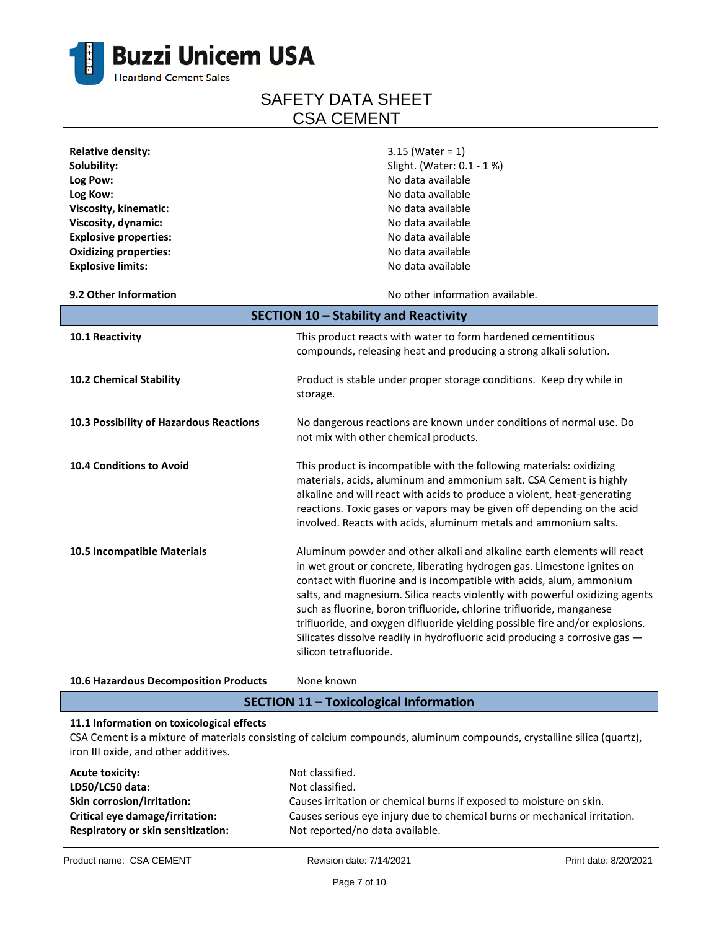

| <b>Relative density:</b>                | $3.15$ (Water = 1)                                                           |  |
|-----------------------------------------|------------------------------------------------------------------------------|--|
| Solubility:                             | Slight. (Water: 0.1 - 1 %)                                                   |  |
| Log Pow:                                | No data available                                                            |  |
| Log Kow:                                | No data available                                                            |  |
| Viscosity, kinematic:                   | No data available                                                            |  |
| Viscosity, dynamic:                     | No data available                                                            |  |
| <b>Explosive properties:</b>            | No data available                                                            |  |
| <b>Oxidizing properties:</b>            | No data available                                                            |  |
| <b>Explosive limits:</b>                | No data available                                                            |  |
| 9.2 Other Information                   | No other information available.                                              |  |
|                                         | SECTION 10 - Stability and Reactivity                                        |  |
| 10.1 Reactivity                         | This product reacts with water to form hardened cementitious                 |  |
|                                         | compounds, releasing heat and producing a strong alkali solution.            |  |
| 10.2 Chemical Stability                 | Product is stable under proper storage conditions. Keep dry while in         |  |
|                                         | storage.                                                                     |  |
| 10.3 Possibility of Hazardous Reactions | No dangerous reactions are known under conditions of normal use. Do          |  |
|                                         | not mix with other chemical products.                                        |  |
| 10.4 Conditions to Avoid                | This product is incompatible with the following materials: oxidizing         |  |
|                                         | materials, acids, aluminum and ammonium salt. CSA Cement is highly           |  |
|                                         | alkaline and will react with acids to produce a violent, heat-generating     |  |
|                                         | reactions. Toxic gases or vapors may be given off depending on the acid      |  |
|                                         | involved. Reacts with acids, aluminum metals and ammonium salts.             |  |
| 10.5 Incompatible Materials             | Aluminum powder and other alkali and alkaline earth elements will react      |  |
|                                         | in wet grout or concrete, liberating hydrogen gas. Limestone ignites on      |  |
|                                         | contact with fluorine and is incompatible with acids, alum, ammonium         |  |
|                                         | salts, and magnesium. Silica reacts violently with powerful oxidizing agents |  |
|                                         | such as fluorine, boron trifluoride, chlorine trifluoride, manganese         |  |
|                                         | trifluoride, and oxygen difluoride yielding possible fire and/or explosions. |  |
|                                         | Silicates dissolve readily in hydrofluoric acid producing a corrosive gas -  |  |
|                                         | silicon tetrafluoride.                                                       |  |
| 10.6 Hazardous Decomposition Products   | None known                                                                   |  |

**SECTION 11 – Toxicological Information**

### **11.1 Information on toxicological effects**

CSA Cement is a mixture of materials consisting of calcium compounds, aluminum compounds, crystalline silica (quartz), iron III oxide, and other additives.

| <b>Acute toxicity:</b>                    | Not classified.                                                           |
|-------------------------------------------|---------------------------------------------------------------------------|
| LD50/LC50 data:                           | Not classified.                                                           |
| <b>Skin corrosion/irritation:</b>         | Causes irritation or chemical burns if exposed to moisture on skin.       |
| Critical eye damage/irritation:           | Causes serious eye injury due to chemical burns or mechanical irritation. |
| <b>Respiratory or skin sensitization:</b> | Not reported/no data available.                                           |
|                                           |                                                                           |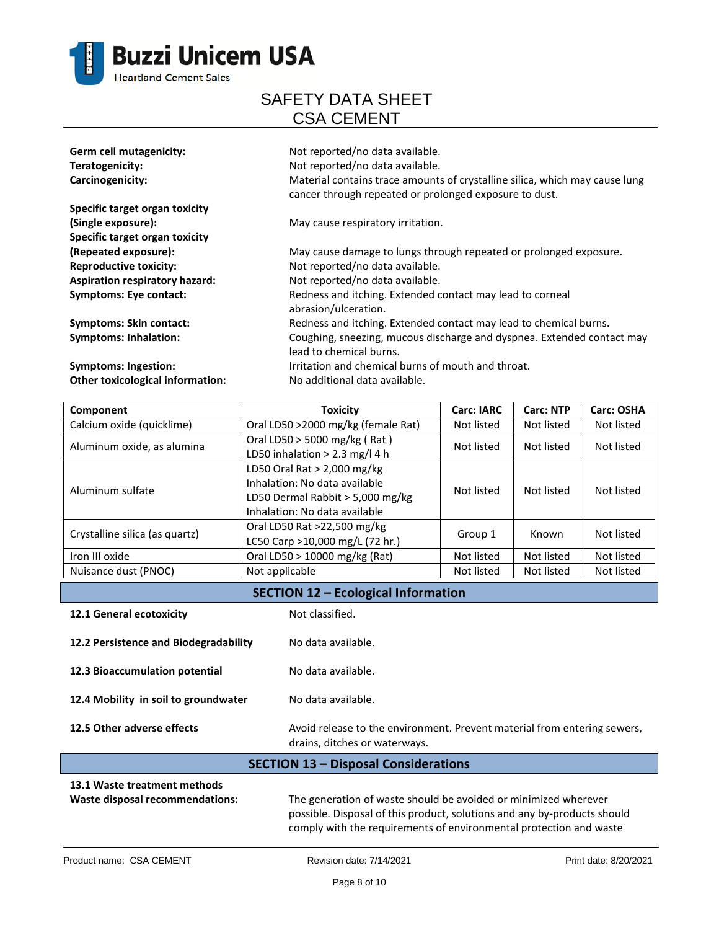

| Germ cell mutagenicity:               | Not reported/no data available.                                                                                                       |
|---------------------------------------|---------------------------------------------------------------------------------------------------------------------------------------|
| Teratogenicity:                       | Not reported/no data available.                                                                                                       |
| Carcinogenicity:                      | Material contains trace amounts of crystalline silica, which may cause lung<br>cancer through repeated or prolonged exposure to dust. |
| Specific target organ toxicity        |                                                                                                                                       |
| (Single exposure):                    | May cause respiratory irritation.                                                                                                     |
| Specific target organ toxicity        |                                                                                                                                       |
| (Repeated exposure):                  | May cause damage to lungs through repeated or prolonged exposure.                                                                     |
| <b>Reproductive toxicity:</b>         | Not reported/no data available.                                                                                                       |
| <b>Aspiration respiratory hazard:</b> | Not reported/no data available.                                                                                                       |
| Symptoms: Eye contact:                | Redness and itching. Extended contact may lead to corneal<br>abrasion/ulceration.                                                     |
| <b>Symptoms: Skin contact:</b>        | Redness and itching. Extended contact may lead to chemical burns.                                                                     |
| <b>Symptoms: Inhalation:</b>          | Coughing, sneezing, mucous discharge and dyspnea. Extended contact may<br>lead to chemical burns.                                     |
| Symptoms: Ingestion:                  | Irritation and chemical burns of mouth and throat.                                                                                    |
| Other toxicological information:      | No additional data available.                                                                                                         |

| Component                      | Toxicity                           | <b>Carc: IARC</b> | <b>Carc: NTP</b> | Carc: OSHA |
|--------------------------------|------------------------------------|-------------------|------------------|------------|
| Calcium oxide (quicklime)      | Oral LD50 >2000 mg/kg (female Rat) | Not listed        | Not listed       | Not listed |
| Aluminum oxide, as alumina     | Oral LD50 > 5000 mg/kg (Rat)       | Not listed        | Not listed       | Not listed |
|                                | LD50 inhalation $> 2.3$ mg/l 4 h   |                   |                  |            |
| Aluminum sulfate               | LD50 Oral Rat $>$ 2,000 mg/kg      |                   | Not listed       | Not listed |
|                                | Inhalation: No data available      | Not listed        |                  |            |
|                                | LD50 Dermal Rabbit > 5,000 mg/kg   |                   |                  |            |
|                                | Inhalation: No data available      |                   |                  |            |
| Crystalline silica (as quartz) | Oral LD50 Rat >22,500 mg/kg        | Group 1           | Known            | Not listed |
|                                | LC50 Carp >10,000 mg/L (72 hr.)    |                   |                  |            |
| Iron III oxide                 | Oral LD50 > 10000 mg/kg (Rat)      | Not listed        | Not listed       | Not listed |
| Nuisance dust (PNOC)           | Not applicable                     | Not listed        | Not listed       | Not listed |

### **SECTION 12 – Ecological Information**

| 12.1 General ecotoxicity              | Not classified.                                                                                           |
|---------------------------------------|-----------------------------------------------------------------------------------------------------------|
| 12.2 Persistence and Biodegradability | No data available.                                                                                        |
| 12.3 Bioaccumulation potential        | No data available.                                                                                        |
| 12.4 Mobility in soil to groundwater  | No data available.                                                                                        |
| 12.5 Other adverse effects            | Avoid release to the environment. Prevent material from entering sewers,<br>drains, ditches or waterways. |

### **SECTION 13 – Disposal Considerations 13.1 Waste treatment methods Waste disposal recommendations:** The generation of waste should be avoided or minimized wherever possible. Disposal of this product, solutions and any by-products should

comply with the requirements of environmental protection and waste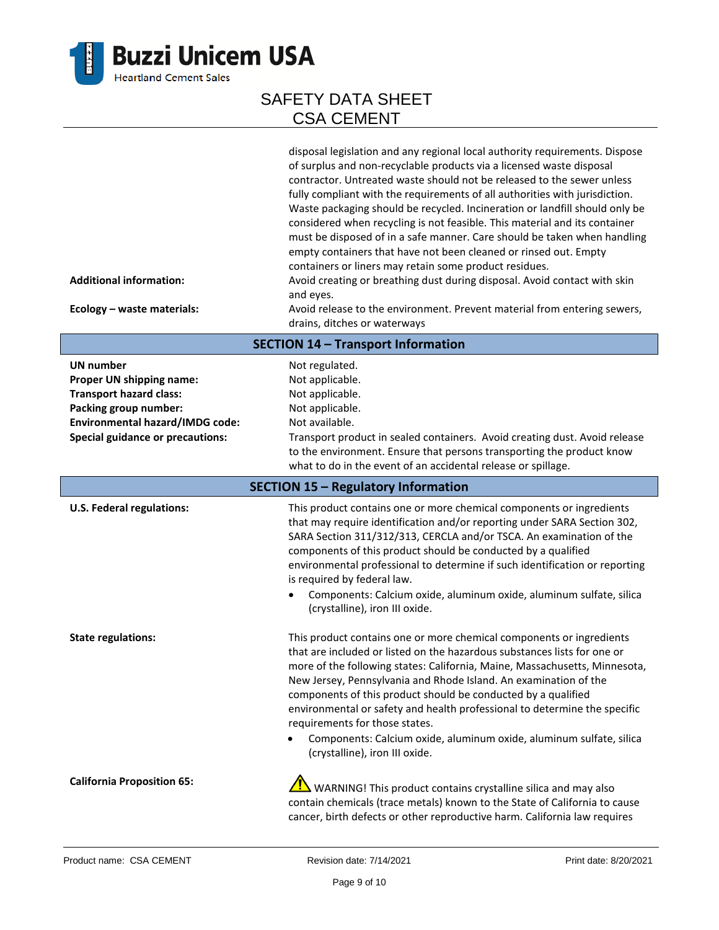

| <b>Additional information:</b><br>Ecology - waste materials:                                                                                                                                 | disposal legislation and any regional local authority requirements. Dispose<br>of surplus and non-recyclable products via a licensed waste disposal<br>contractor. Untreated waste should not be released to the sewer unless<br>fully compliant with the requirements of all authorities with jurisdiction.<br>Waste packaging should be recycled. Incineration or landfill should only be<br>considered when recycling is not feasible. This material and its container<br>must be disposed of in a safe manner. Care should be taken when handling<br>empty containers that have not been cleaned or rinsed out. Empty<br>containers or liners may retain some product residues.<br>Avoid creating or breathing dust during disposal. Avoid contact with skin<br>and eyes.<br>Avoid release to the environment. Prevent material from entering sewers,<br>drains, ditches or waterways |  |  |
|----------------------------------------------------------------------------------------------------------------------------------------------------------------------------------------------|-------------------------------------------------------------------------------------------------------------------------------------------------------------------------------------------------------------------------------------------------------------------------------------------------------------------------------------------------------------------------------------------------------------------------------------------------------------------------------------------------------------------------------------------------------------------------------------------------------------------------------------------------------------------------------------------------------------------------------------------------------------------------------------------------------------------------------------------------------------------------------------------|--|--|
| <b>SECTION 14 - Transport Information</b>                                                                                                                                                    |                                                                                                                                                                                                                                                                                                                                                                                                                                                                                                                                                                                                                                                                                                                                                                                                                                                                                           |  |  |
| <b>UN number</b><br>Proper UN shipping name:<br><b>Transport hazard class:</b><br>Packing group number:<br><b>Environmental hazard/IMDG code:</b><br><b>Special guidance or precautions:</b> | Not regulated.<br>Not applicable.<br>Not applicable.<br>Not applicable.<br>Not available.<br>Transport product in sealed containers. Avoid creating dust. Avoid release<br>to the environment. Ensure that persons transporting the product know<br>what to do in the event of an accidental release or spillage.                                                                                                                                                                                                                                                                                                                                                                                                                                                                                                                                                                         |  |  |
|                                                                                                                                                                                              | <b>SECTION 15 - Regulatory Information</b>                                                                                                                                                                                                                                                                                                                                                                                                                                                                                                                                                                                                                                                                                                                                                                                                                                                |  |  |
| <b>U.S. Federal regulations:</b>                                                                                                                                                             | This product contains one or more chemical components or ingredients<br>that may require identification and/or reporting under SARA Section 302,<br>SARA Section 311/312/313, CERCLA and/or TSCA. An examination of the<br>components of this product should be conducted by a qualified<br>environmental professional to determine if such identification or reporting<br>is required by federal law.<br>Components: Calcium oxide, aluminum oxide, aluminum sulfate, silica<br>$\bullet$<br>(crystalline), iron III oxide.                                                                                                                                                                                                                                                                                                                                                              |  |  |
| <b>State regulations:</b>                                                                                                                                                                    | This product contains one or more chemical components or ingredients<br>that are included or listed on the hazardous substances lists for one or<br>more of the following states: California, Maine, Massachusetts, Minnesota,<br>New Jersey, Pennsylvania and Rhode Island. An examination of the<br>components of this product should be conducted by a qualified<br>environmental or safety and health professional to determine the specific<br>requirements for those states.<br>Components: Calcium oxide, aluminum oxide, aluminum sulfate, silica<br>(crystalline), iron III oxide.                                                                                                                                                                                                                                                                                               |  |  |
| <b>California Proposition 65:</b>                                                                                                                                                            | WARNING! This product contains crystalline silica and may also<br>contain chemicals (trace metals) known to the State of California to cause<br>cancer, birth defects or other reproductive harm. California law requires                                                                                                                                                                                                                                                                                                                                                                                                                                                                                                                                                                                                                                                                 |  |  |